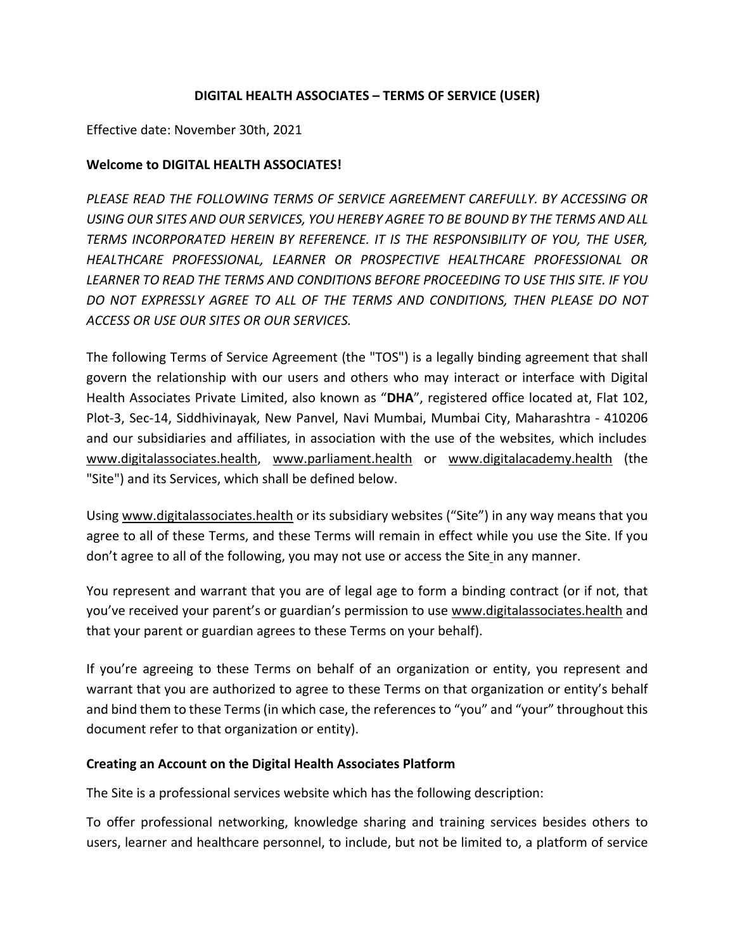### **DIGITAL HEALTH ASSOCIATES – TERMS OF SERVICE (USER)**

Effective date: November 30th, 2021

### **Welcome to DIGITAL HEALTH ASSOCIATES!**

*PLEASE READ THE FOLLOWING TERMS OF SERVICE AGREEMENT CAREFULLY. BY ACCESSING OR USING OUR SITES AND OUR SERVICES, YOU HEREBY AGREE TO BE BOUND BY THE TERMS AND ALL TERMS INCORPORATED HEREIN BY REFERENCE. IT IS THE RESPONSIBILITY OF YOU, THE USER, HEALTHCARE PROFESSIONAL, LEARNER OR PROSPECTIVE HEALTHCARE PROFESSIONAL OR LEARNER TO READ THE TERMS AND CONDITIONS BEFORE PROCEEDING TO USE THIS SITE. IF YOU DO NOT EXPRESSLY AGREE TO ALL OF THE TERMS AND CONDITIONS, THEN PLEASE DO NOT ACCESS OR USE OUR SITES OR OUR SERVICES.*

The following Terms of Service Agreement (the "TOS") is a legally binding agreement that shall govern the relationship with our users and others who may interact or interface with Digital Health Associates Private Limited, also known as "**DHA**", registered office located at, Flat 102, Plot-3, Sec-14, Siddhivinayak, New Panvel, Navi Mumbai, Mumbai City, Maharashtra - 410206 and our subsidiaries and affiliates, in association with the use of the websites, which includes www.digitalassociates.health, www.parliament.health or www.digitalacademy.health (the "Site") and its Services, which shall be defined below.

Using www.digitalassociates.health or its subsidiary websites ("Site") in any way means that you agree to all of these Terms, and these Terms will remain in effect while you use the Site. If you don't agree to all of the following, you may not use or access the Site in any manner.

You represent and warrant that you are of legal age to form a binding contract (or if not, that you've received your parent's or guardian's permission to use www.digitalassociates.health and that your parent or guardian agrees to these Terms on your behalf).

If you're agreeing to these Terms on behalf of an organization or entity, you represent and warrant that you are authorized to agree to these Terms on that organization or entity's behalf and bind them to these Terms (in which case, the references to "you" and "your" throughout this document refer to that organization or entity).

#### **Creating an Account on the Digital Health Associates Platform**

The Site is a professional services website which has the following description:

To offer professional networking, knowledge sharing and training services besides others to users, learner and healthcare personnel, to include, but not be limited to, a platform of service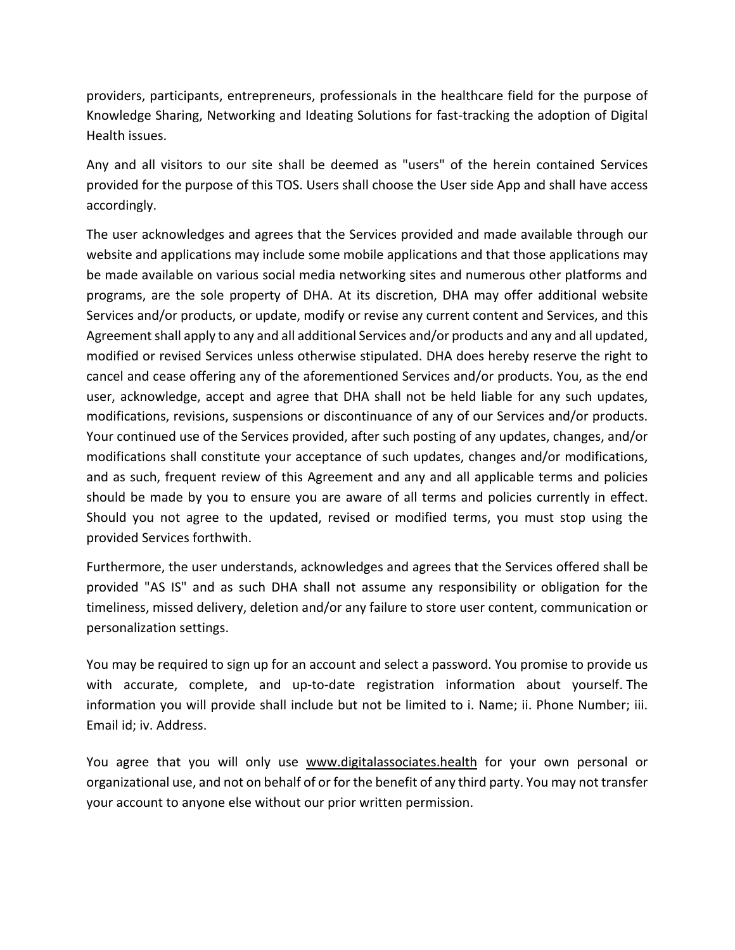providers, participants, entrepreneurs, professionals in the healthcare field for the purpose of Knowledge Sharing, Networking and Ideating Solutions for fast-tracking the adoption of Digital Health issues.

Any and all visitors to our site shall be deemed as "users" of the herein contained Services provided for the purpose of this TOS. Users shall choose the User side App and shall have access accordingly.

The user acknowledges and agrees that the Services provided and made available through our website and applications may include some mobile applications and that those applications may be made available on various social media networking sites and numerous other platforms and programs, are the sole property of DHA. At its discretion, DHA may offer additional website Services and/or products, or update, modify or revise any current content and Services, and this Agreement shall apply to any and all additional Services and/or products and any and all updated, modified or revised Services unless otherwise stipulated. DHA does hereby reserve the right to cancel and cease offering any of the aforementioned Services and/or products. You, as the end user, acknowledge, accept and agree that DHA shall not be held liable for any such updates, modifications, revisions, suspensions or discontinuance of any of our Services and/or products. Your continued use of the Services provided, after such posting of any updates, changes, and/or modifications shall constitute your acceptance of such updates, changes and/or modifications, and as such, frequent review of this Agreement and any and all applicable terms and policies should be made by you to ensure you are aware of all terms and policies currently in effect. Should you not agree to the updated, revised or modified terms, you must stop using the provided Services forthwith.

Furthermore, the user understands, acknowledges and agrees that the Services offered shall be provided "AS IS" and as such DHA shall not assume any responsibility or obligation for the timeliness, missed delivery, deletion and/or any failure to store user content, communication or personalization settings.

You may be required to sign up for an account and select a password. You promise to provide us with accurate, complete, and up-to-date registration information about yourself. The information you will provide shall include but not be limited to i. Name; ii. Phone Number; iii. Email id; iv. Address.

You agree that you will only use www.digitalassociates.health for your own personal or organizational use, and not on behalf of or for the benefit of any third party. You may not transfer your account to anyone else without our prior written permission.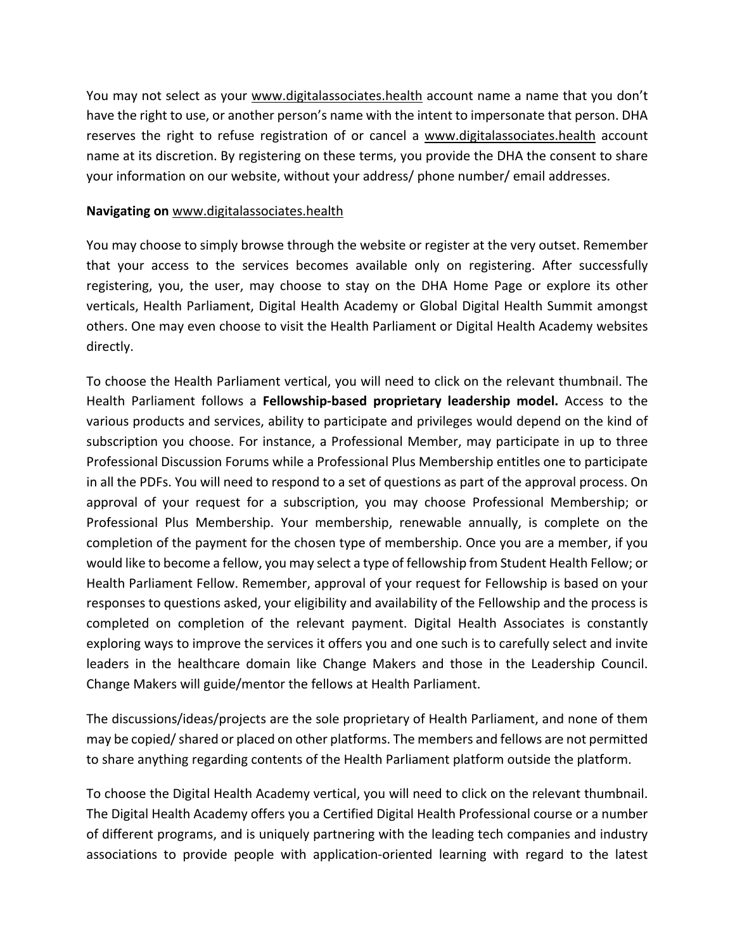You may not select as your www.digitalassociates.health account name a name that you don't have the right to use, or another person's name with the intent to impersonate that person. DHA reserves the right to refuse registration of or cancel a www.digitalassociates.health account name at its discretion. By registering on these terms, you provide the DHA the consent to share your information on our website, without your address/ phone number/ email addresses.

#### **Navigating on** www.digitalassociates.health

You may choose to simply browse through the website or register at the very outset. Remember that your access to the services becomes available only on registering. After successfully registering, you, the user, may choose to stay on the DHA Home Page or explore its other verticals, Health Parliament, Digital Health Academy or Global Digital Health Summit amongst others. One may even choose to visit the Health Parliament or Digital Health Academy websites directly.

To choose the Health Parliament vertical, you will need to click on the relevant thumbnail. The Health Parliament follows a **Fellowship-based proprietary leadership model.** Access to the various products and services, ability to participate and privileges would depend on the kind of subscription you choose. For instance, a Professional Member, may participate in up to three Professional Discussion Forums while a Professional Plus Membership entitles one to participate in all the PDFs. You will need to respond to a set of questions as part of the approval process. On approval of your request for a subscription, you may choose Professional Membership; or Professional Plus Membership. Your membership, renewable annually, is complete on the completion of the payment for the chosen type of membership. Once you are a member, if you would like to become a fellow, you may select a type of fellowship from Student Health Fellow; or Health Parliament Fellow. Remember, approval of your request for Fellowship is based on your responses to questions asked, your eligibility and availability of the Fellowship and the process is completed on completion of the relevant payment. Digital Health Associates is constantly exploring ways to improve the services it offers you and one such is to carefully select and invite leaders in the healthcare domain like Change Makers and those in the Leadership Council. Change Makers will guide/mentor the fellows at Health Parliament.

The discussions/ideas/projects are the sole proprietary of Health Parliament, and none of them may be copied/ shared or placed on other platforms. The members and fellows are not permitted to share anything regarding contents of the Health Parliament platform outside the platform.

To choose the Digital Health Academy vertical, you will need to click on the relevant thumbnail. The Digital Health Academy offers you a Certified Digital Health Professional course or a number of different programs, and is uniquely partnering with the leading tech companies and industry associations to provide people with application-oriented learning with regard to the latest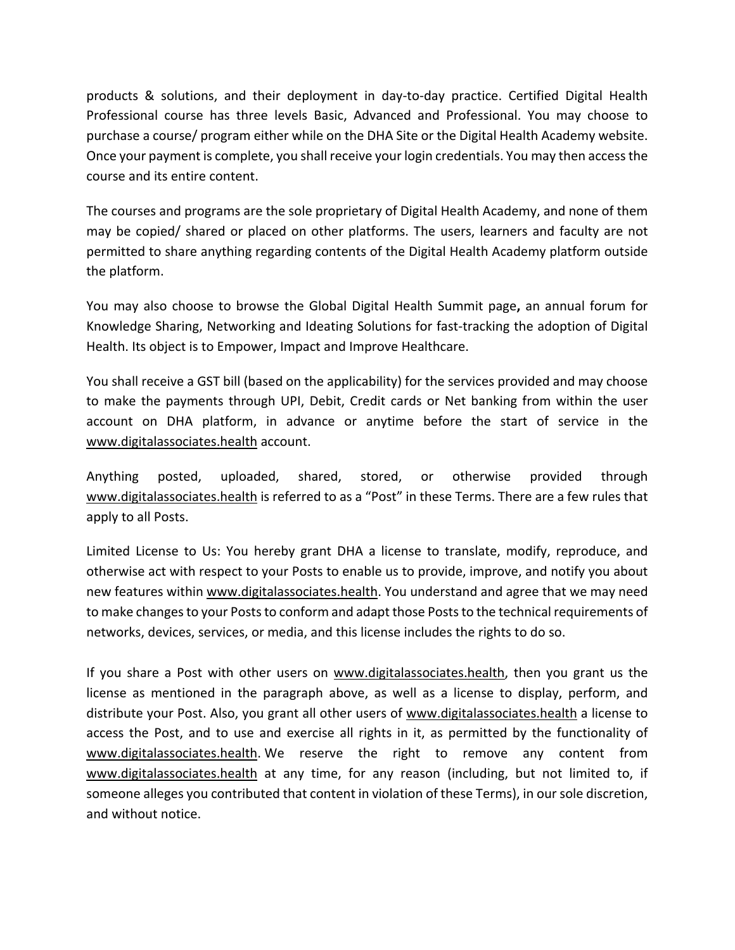products & solutions, and their deployment in day-to-day practice. Certified Digital Health Professional course has three levels Basic, Advanced and Professional. You may choose to purchase a course/ program either while on the DHA Site or the Digital Health Academy website. Once your payment is complete, you shall receive your login credentials. You may then access the course and its entire content.

The courses and programs are the sole proprietary of Digital Health Academy, and none of them may be copied/ shared or placed on other platforms. The users, learners and faculty are not permitted to share anything regarding contents of the Digital Health Academy platform outside the platform.

You may also choose to browse the Global Digital Health Summit page**,** an annual forum for Knowledge Sharing, Networking and Ideating Solutions for fast-tracking the adoption of Digital Health. Its object is to Empower, Impact and Improve Healthcare.

You shall receive a GST bill (based on the applicability) for the services provided and may choose to make the payments through UPI, Debit, Credit cards or Net banking from within the user account on DHA platform, in advance or anytime before the start of service in the www.digitalassociates.health account.

Anything posted, uploaded, shared, stored, or otherwise provided through www.digitalassociates.health is referred to as a "Post" in these Terms. There are a few rules that apply to all Posts.

Limited License to Us: You hereby grant DHA a license to translate, modify, reproduce, and otherwise act with respect to your Posts to enable us to provide, improve, and notify you about new features within www.digitalassociates.health. You understand and agree that we may need to make changes to your Posts to conform and adapt those Posts to the technical requirements of networks, devices, services, or media, and this license includes the rights to do so.

If you share a Post with other users on www.digitalassociates.health, then you grant us the license as mentioned in the paragraph above, as well as a license to display, perform, and distribute your Post. Also, you grant all other users of www.digitalassociates.health a license to access the Post, and to use and exercise all rights in it, as permitted by the functionality of www.digitalassociates.health. We reserve the right to remove any content from www.digitalassociates.health at any time, for any reason (including, but not limited to, if someone alleges you contributed that content in violation of these Terms), in our sole discretion, and without notice.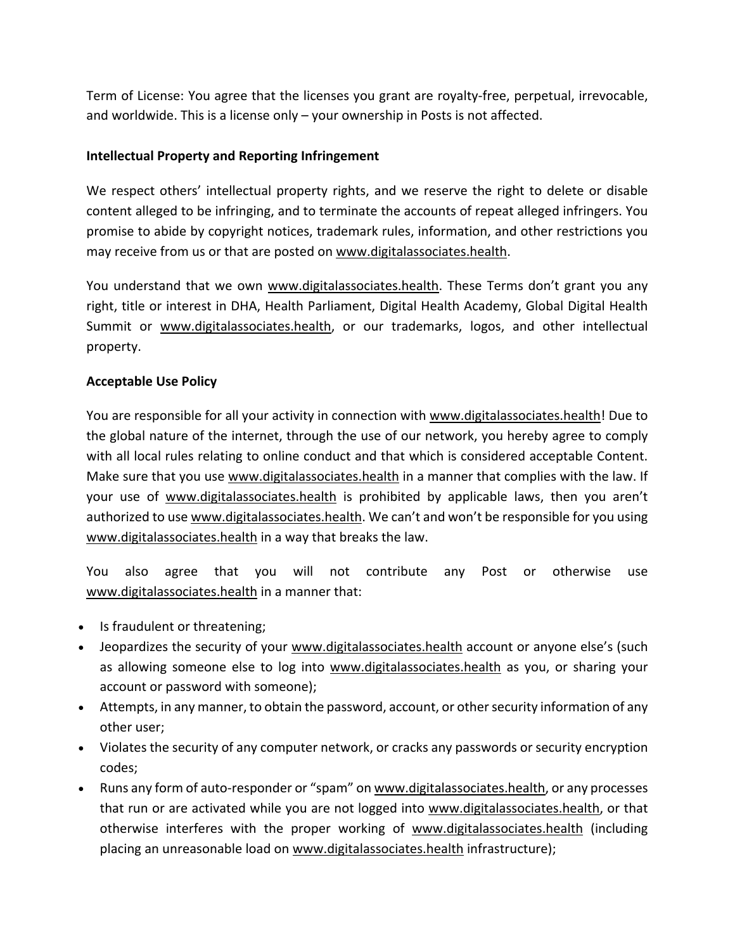Term of License: You agree that the licenses you grant are royalty-free, perpetual, irrevocable, and worldwide. This is a license only – your ownership in Posts is not affected.

# **Intellectual Property and Reporting Infringement**

We respect others' intellectual property rights, and we reserve the right to delete or disable content alleged to be infringing, and to terminate the accounts of repeat alleged infringers. You promise to abide by copyright notices, trademark rules, information, and other restrictions you may receive from us or that are posted on www.digitalassociates.health.

You understand that we own www.digitalassociates.health. These Terms don't grant you any right, title or interest in DHA, Health Parliament, Digital Health Academy, Global Digital Health Summit or www.digitalassociates.health, or our trademarks, logos, and other intellectual property.

## **Acceptable Use Policy**

You are responsible for all your activity in connection with www.digitalassociates.health! Due to the global nature of the internet, through the use of our network, you hereby agree to comply with all local rules relating to online conduct and that which is considered acceptable Content. Make sure that you use www.digitalassociates.health in a manner that complies with the law. If your use of www.digitalassociates.health is prohibited by applicable laws, then you aren't authorized to use www.digitalassociates.health. We can't and won't be responsible for you using www.digitalassociates.health in a way that breaks the law.

You also agree that you will not contribute any Post or otherwise use www.digitalassociates.health in a manner that:

- Is fraudulent or threatening;
- Jeopardizes the security of your www.digitalassociates.health account or anyone else's (such as allowing someone else to log into www.digitalassociates.health as you, or sharing your account or password with someone);
- Attempts, in any manner, to obtain the password, account, or other security information of any other user;
- Violates the security of any computer network, or cracks any passwords or security encryption codes;
- Runs any form of auto-responder or "spam" on www.digitalassociates.health, or any processes that run or are activated while you are not logged into www.digitalassociates.health, or that otherwise interferes with the proper working of www.digitalassociates.health (including placing an unreasonable load on www.digitalassociates.health infrastructure);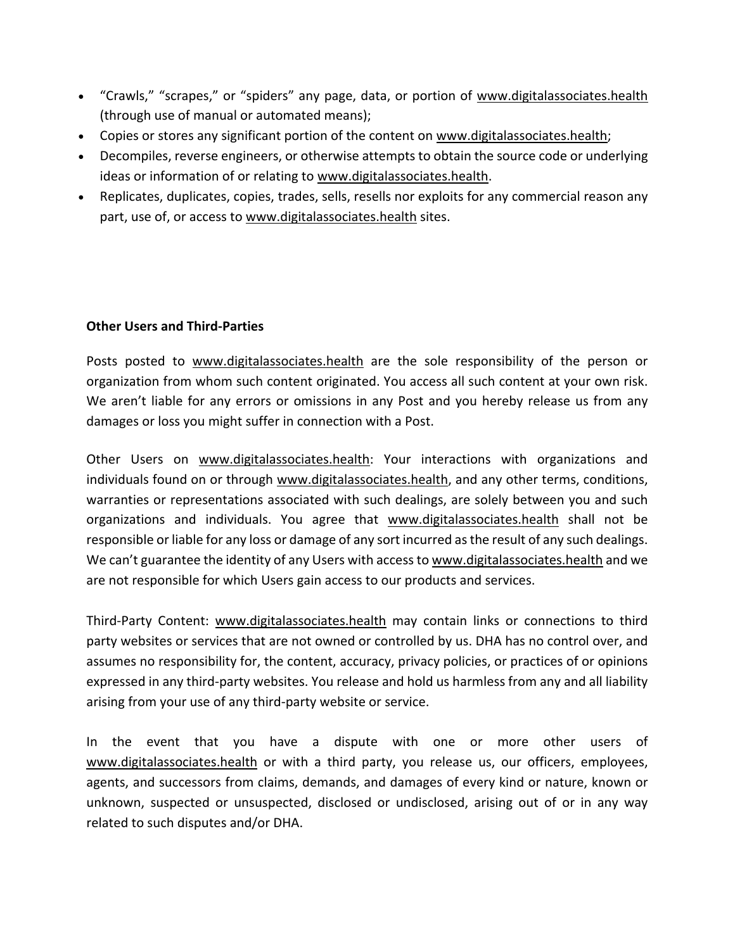- "Crawls," "scrapes," or "spiders" any page, data, or portion of www.digitalassociates.health (through use of manual or automated means);
- Copies or stores any significant portion of the content on www.digitalassociates.health;
- Decompiles, reverse engineers, or otherwise attempts to obtain the source code or underlying ideas or information of or relating to www.digitalassociates.health.
- Replicates, duplicates, copies, trades, sells, resells nor exploits for any commercial reason any part, use of, or access to www.digitalassociates.health sites.

## **Other Users and Third-Parties**

Posts posted to www.digitalassociates.health are the sole responsibility of the person or organization from whom such content originated. You access all such content at your own risk. We aren't liable for any errors or omissions in any Post and you hereby release us from any damages or loss you might suffer in connection with a Post.

Other Users on www.digitalassociates.health: Your interactions with organizations and individuals found on or through www.digitalassociates.health, and any other terms, conditions, warranties or representations associated with such dealings, are solely between you and such organizations and individuals. You agree that www.digitalassociates.health shall not be responsible or liable for any loss or damage of any sort incurred as the result of any such dealings. We can't guarantee the identity of any Users with access to www.digitalassociates.health and we are not responsible for which Users gain access to our products and services.

Third-Party Content: www.digitalassociates.health may contain links or connections to third party websites or services that are not owned or controlled by us. DHA has no control over, and assumes no responsibility for, the content, accuracy, privacy policies, or practices of or opinions expressed in any third-party websites. You release and hold us harmless from any and all liability arising from your use of any third-party website or service.

In the event that you have a dispute with one or more other users of www.digitalassociates.health or with a third party, you release us, our officers, employees, agents, and successors from claims, demands, and damages of every kind or nature, known or unknown, suspected or unsuspected, disclosed or undisclosed, arising out of or in any way related to such disputes and/or DHA.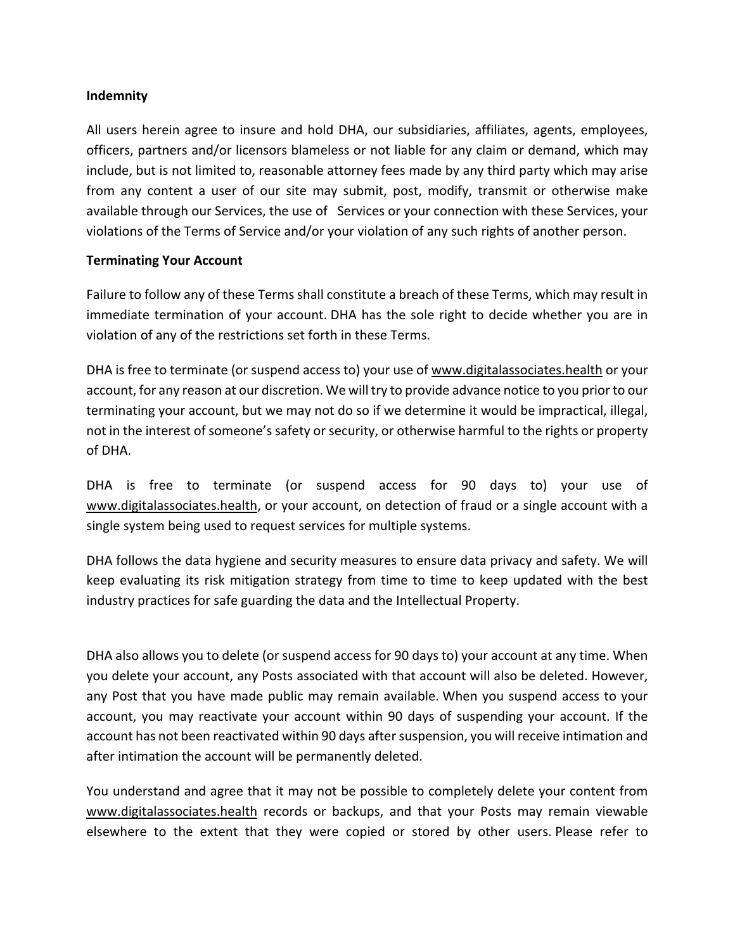#### **Indemnity**

All users herein agree to insure and hold DHA, our subsidiaries, affiliates, agents, employees, officers, partners and/or licensors blameless or not liable for any claim or demand, which may include, but is not limited to, reasonable attorney fees made by any third party which may arise from any content a user of our site may submit, post, modify, transmit or otherwise make available through our Services, the use of Services or your connection with these Services, your violations of the Terms of Service and/or your violation of any such rights of another person.

#### **Terminating Your Account**

Failure to follow any of these Terms shall constitute a breach of these Terms, which may result in immediate termination of your account. DHA has the sole right to decide whether you are in violation of any of the restrictions set forth in these Terms.

DHA is free to terminate (or suspend access to) your use of www.digitalassociates.health or your account, for any reason at our discretion. We will try to provide advance notice to you prior to our terminating your account, but we may not do so if we determine it would be impractical, illegal, not in the interest of someone's safety or security, or otherwise harmful to the rights or property of DHA.

DHA is free to terminate (or suspend access for 90 days to) your use of www.digitalassociates.health, or your account, on detection of fraud or a single account with a single system being used to request services for multiple systems.

DHA follows the data hygiene and security measures to ensure data privacy and safety. We will keep evaluating its risk mitigation strategy from time to time to keep updated with the best industry practices for safe guarding the data and the Intellectual Property.

DHA also allows you to delete (or suspend access for 90 days to) your account at any time. When you delete your account, any Posts associated with that account will also be deleted. However, any Post that you have made public may remain available. When you suspend access to your account, you may reactivate your account within 90 days of suspending your account. If the account has not been reactivated within 90 days after suspension, you will receive intimation and after intimation the account will be permanently deleted.

You understand and agree that it may not be possible to completely delete your content from www.digitalassociates.health records or backups, and that your Posts may remain viewable elsewhere to the extent that they were copied or stored by other users. Please refer to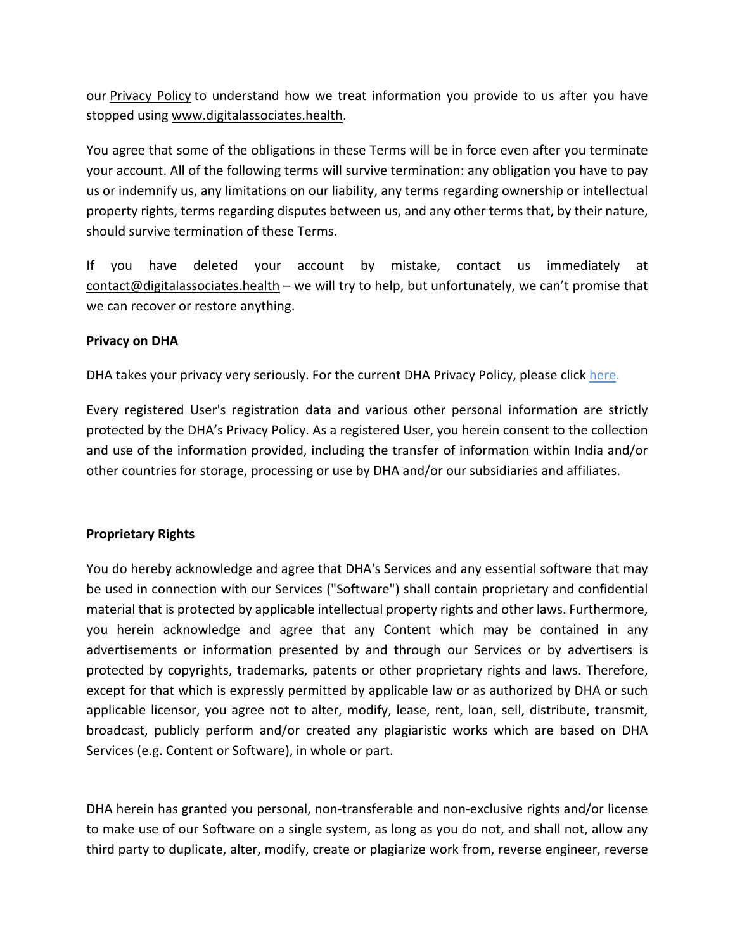our Privacy Policy to understand how we treat information you provide to us after you have stopped using www.digitalassociates.health.

You agree that some of the obligations in these Terms will be in force even after you terminate your account. All of the following terms will survive termination: any obligation you have to pay us or indemnify us, any limitations on our liability, any terms regarding ownership or intellectual property rights, terms regarding disputes between us, and any other terms that, by their nature, should survive termination of these Terms.

If you have deleted your account by mistake, contact us immediately at contact@digitalassociates.health – we will try to help, but unfortunately, we can't promise that we can recover or restore anything.

#### **Privacy on DHA**

DHA takes your privacy very seriously. For the current DHA Privacy Policy, please click here.

Every registered User's registration data and various other personal information are strictly protected by the DHA's Privacy Policy. As a registered User, you herein consent to the collection and use of the information provided, including the transfer of information within India and/or other countries for storage, processing or use by DHA and/or our subsidiaries and affiliates.

#### **Proprietary Rights**

You do hereby acknowledge and agree that DHA's Services and any essential software that may be used in connection with our Services ("Software") shall contain proprietary and confidential material that is protected by applicable intellectual property rights and other laws. Furthermore, you herein acknowledge and agree that any Content which may be contained in any advertisements or information presented by and through our Services or by advertisers is protected by copyrights, trademarks, patents or other proprietary rights and laws. Therefore, except for that which is expressly permitted by applicable law or as authorized by DHA or such applicable licensor, you agree not to alter, modify, lease, rent, loan, sell, distribute, transmit, broadcast, publicly perform and/or created any plagiaristic works which are based on DHA Services (e.g. Content or Software), in whole or part.

DHA herein has granted you personal, non-transferable and non-exclusive rights and/or license to make use of our Software on a single system, as long as you do not, and shall not, allow any third party to duplicate, alter, modify, create or plagiarize work from, reverse engineer, reverse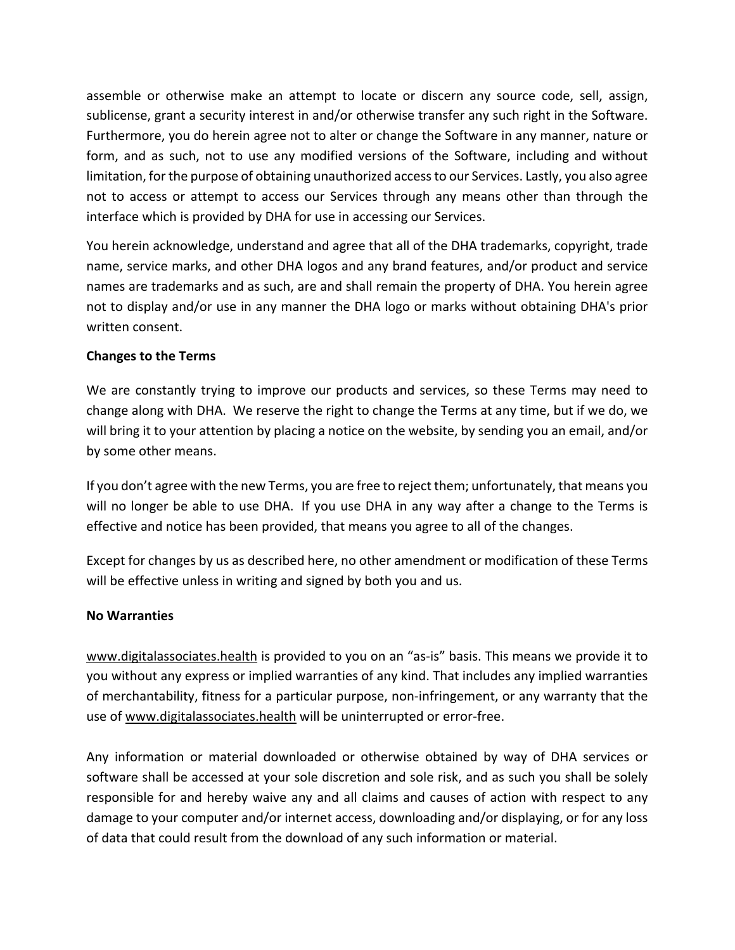assemble or otherwise make an attempt to locate or discern any source code, sell, assign, sublicense, grant a security interest in and/or otherwise transfer any such right in the Software. Furthermore, you do herein agree not to alter or change the Software in any manner, nature or form, and as such, not to use any modified versions of the Software, including and without limitation, for the purpose of obtaining unauthorized access to our Services. Lastly, you also agree not to access or attempt to access our Services through any means other than through the interface which is provided by DHA for use in accessing our Services.

You herein acknowledge, understand and agree that all of the DHA trademarks, copyright, trade name, service marks, and other DHA logos and any brand features, and/or product and service names are trademarks and as such, are and shall remain the property of DHA. You herein agree not to display and/or use in any manner the DHA logo or marks without obtaining DHA's prior written consent.

### **Changes to the Terms**

We are constantly trying to improve our products and services, so these Terms may need to change along with DHA. We reserve the right to change the Terms at any time, but if we do, we will bring it to your attention by placing a notice on the website, by sending you an email, and/or by some other means.

If you don't agree with the new Terms, you are free to reject them; unfortunately, that means you will no longer be able to use DHA. If you use DHA in any way after a change to the Terms is effective and notice has been provided, that means you agree to all of the changes.

Except for changes by us as described here, no other amendment or modification of these Terms will be effective unless in writing and signed by both you and us.

#### **No Warranties**

www.digitalassociates.health is provided to you on an "as-is" basis. This means we provide it to you without any express or implied warranties of any kind. That includes any implied warranties of merchantability, fitness for a particular purpose, non-infringement, or any warranty that the use of www.digitalassociates.health will be uninterrupted or error-free.

Any information or material downloaded or otherwise obtained by way of DHA services or software shall be accessed at your sole discretion and sole risk, and as such you shall be solely responsible for and hereby waive any and all claims and causes of action with respect to any damage to your computer and/or internet access, downloading and/or displaying, or for any loss of data that could result from the download of any such information or material.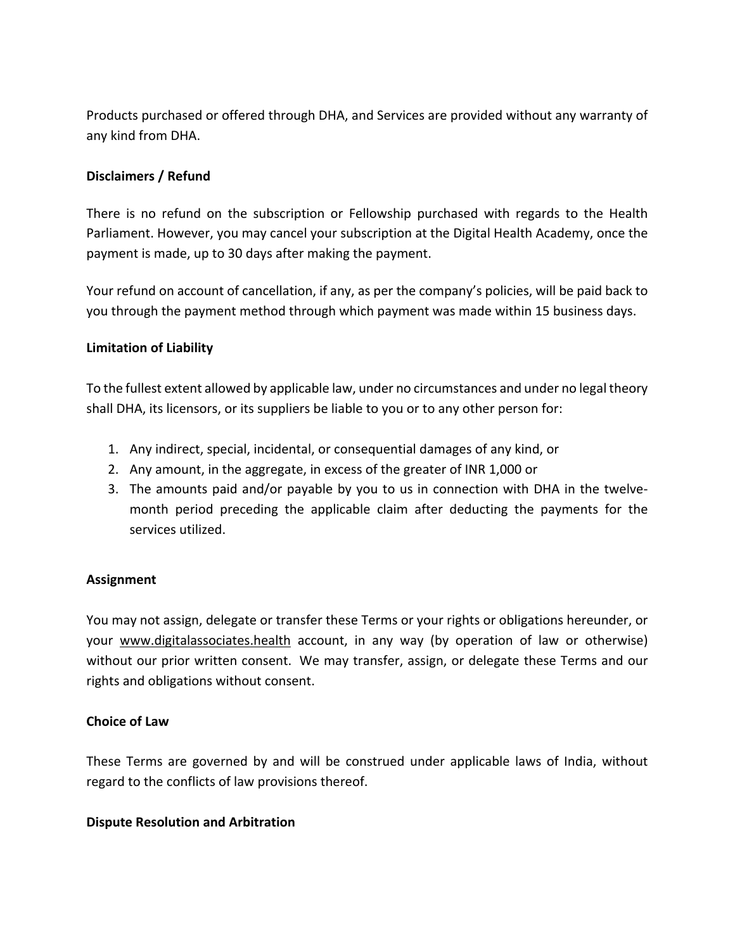Products purchased or offered through DHA, and Services are provided without any warranty of any kind from DHA.

### **Disclaimers / Refund**

There is no refund on the subscription or Fellowship purchased with regards to the Health Parliament. However, you may cancel your subscription at the Digital Health Academy, once the payment is made, up to 30 days after making the payment.

Your refund on account of cancellation, if any, as per the company's policies, will be paid back to you through the payment method through which payment was made within 15 business days.

#### **Limitation of Liability**

To the fullest extent allowed by applicable law, under no circumstances and under no legal theory shall DHA, its licensors, or its suppliers be liable to you or to any other person for:

- 1. Any indirect, special, incidental, or consequential damages of any kind, or
- 2. Any amount, in the aggregate, in excess of the greater of INR 1,000 or
- 3. The amounts paid and/or payable by you to us in connection with DHA in the twelvemonth period preceding the applicable claim after deducting the payments for the services utilized.

#### **Assignment**

You may not assign, delegate or transfer these Terms or your rights or obligations hereunder, or your www.digitalassociates.health account, in any way (by operation of law or otherwise) without our prior written consent. We may transfer, assign, or delegate these Terms and our rights and obligations without consent.

#### **Choice of Law**

These Terms are governed by and will be construed under applicable laws of India, without regard to the conflicts of law provisions thereof.

#### **Dispute Resolution and Arbitration**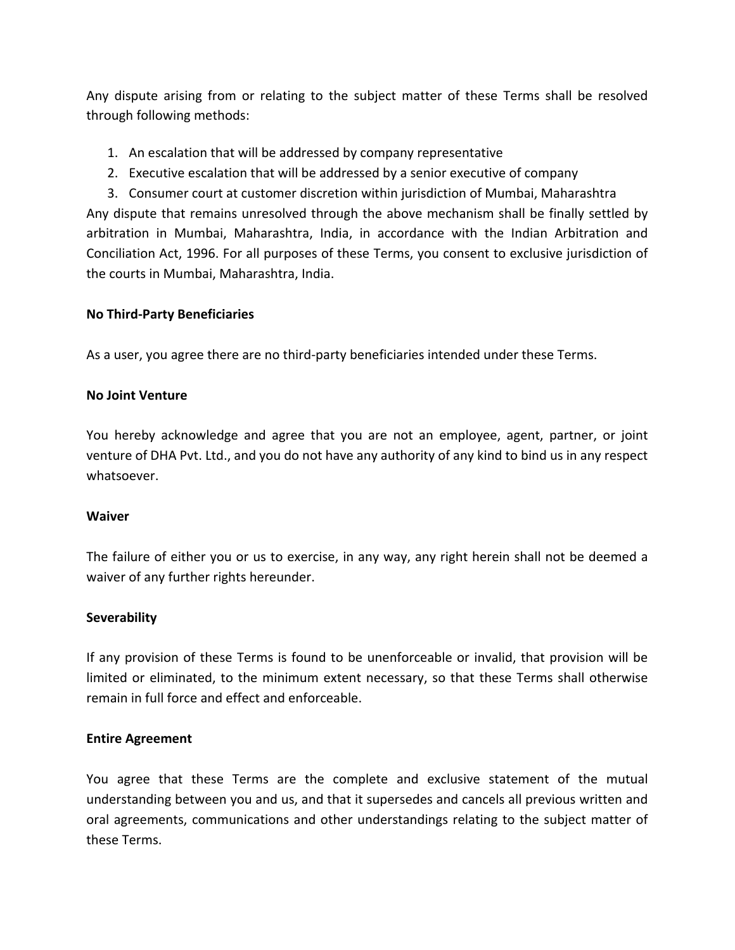Any dispute arising from or relating to the subject matter of these Terms shall be resolved through following methods:

- 1. An escalation that will be addressed by company representative
- 2. Executive escalation that will be addressed by a senior executive of company

3. Consumer court at customer discretion within jurisdiction of Mumbai, Maharashtra Any dispute that remains unresolved through the above mechanism shall be finally settled by arbitration in Mumbai, Maharashtra, India, in accordance with the Indian Arbitration and Conciliation Act, 1996. For all purposes of these Terms, you consent to exclusive jurisdiction of the courts in Mumbai, Maharashtra, India.

#### **No Third-Party Beneficiaries**

As a user, you agree there are no third-party beneficiaries intended under these Terms.

#### **No Joint Venture**

You hereby acknowledge and agree that you are not an employee, agent, partner, or joint venture of DHA Pvt. Ltd., and you do not have any authority of any kind to bind us in any respect whatsoever.

#### **Waiver**

The failure of either you or us to exercise, in any way, any right herein shall not be deemed a waiver of any further rights hereunder.

#### **Severability**

If any provision of these Terms is found to be unenforceable or invalid, that provision will be limited or eliminated, to the minimum extent necessary, so that these Terms shall otherwise remain in full force and effect and enforceable.

#### **Entire Agreement**

You agree that these Terms are the complete and exclusive statement of the mutual understanding between you and us, and that it supersedes and cancels all previous written and oral agreements, communications and other understandings relating to the subject matter of these Terms.